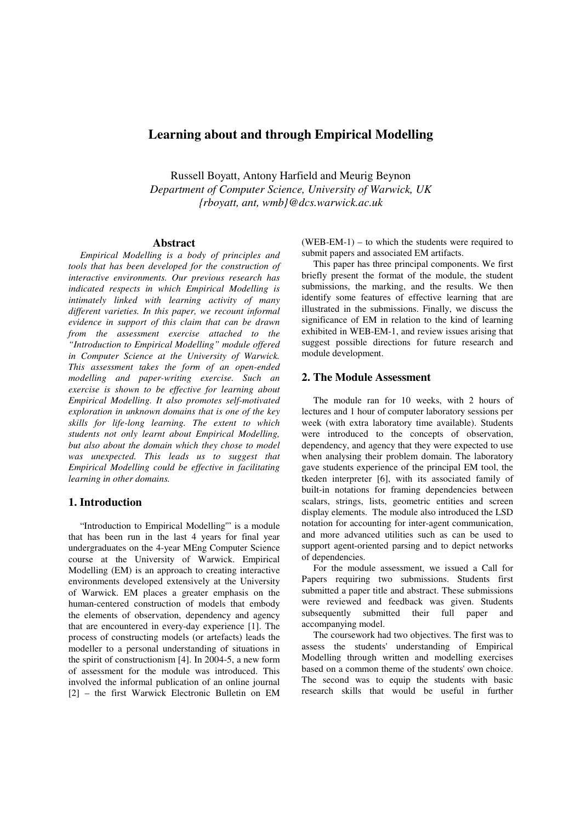# **Learning about and through Empirical Modelling**

Russell Boyatt, Antony Harfield and Meurig Beynon *Department of Computer Science, University of Warwick, UK {rboyatt, ant, wmb}@dcs.warwick.ac.uk* 

#### **Abstract**

*Empirical Modelling is a body of principles and tools that has been developed for the construction of interactive environments. Our previous research has indicated respects in which Empirical Modelling is intimately linked with learning activity of many different varieties. In this paper, we recount informal evidence in support of this claim that can be drawn from the assessment exercise attached to the "Introduction to Empirical Modelling" module offered in Computer Science at the University of Warwick. This assessment takes the form of an open-ended modelling and paper-writing exercise. Such an exercise is shown to be effective for learning about Empirical Modelling. It also promotes self-motivated exploration in unknown domains that is one of the key skills for life-long learning. The extent to which students not only learnt about Empirical Modelling, but also about the domain which they chose to model* was unexpected. This leads us to suggest that *Empirical Modelling could be effective in facilitating learning in other domains.* 

## **1. Introduction**

"Introduction to Empirical Modelling'" is a module that has been run in the last 4 years for final year undergraduates on the 4-year MEng Computer Science course at the University of Warwick. Empirical Modelling (EM) is an approach to creating interactive environments developed extensively at the University of Warwick. EM places a greater emphasis on the human-centered construction of models that embody the elements of observation, dependency and agency that are encountered in every-day experience [1]. The process of constructing models (or artefacts) leads the modeller to a personal understanding of situations in the spirit of constructionism [4]. In 2004-5, a new form of assessment for the module was introduced. This involved the informal publication of an online journal [2] – the first Warwick Electronic Bulletin on EM

(WEB-EM-1) – to which the students were required to submit papers and associated EM artifacts.

This paper has three principal components. We first briefly present the format of the module, the student submissions, the marking, and the results. We then identify some features of effective learning that are illustrated in the submissions. Finally, we discuss the significance of EM in relation to the kind of learning exhibited in WEB-EM-1, and review issues arising that suggest possible directions for future research and module development.

#### **2. The Module Assessment**

The module ran for 10 weeks, with 2 hours of lectures and 1 hour of computer laboratory sessions per week (with extra laboratory time available). Students were introduced to the concepts of observation, dependency, and agency that they were expected to use when analysing their problem domain. The laboratory gave students experience of the principal EM tool, the tkeden interpreter [6], with its associated family of built-in notations for framing dependencies between scalars, strings, lists, geometric entities and screen display elements. The module also introduced the LSD notation for accounting for inter-agent communication, and more advanced utilities such as can be used to support agent-oriented parsing and to depict networks of dependencies.

For the module assessment, we issued a Call for Papers requiring two submissions. Students first submitted a paper title and abstract. These submissions were reviewed and feedback was given. Students subsequently submitted their full paper and accompanying model.

The coursework had two objectives. The first was to assess the students' understanding of Empirical Modelling through written and modelling exercises based on a common theme of the students' own choice. The second was to equip the students with basic research skills that would be useful in further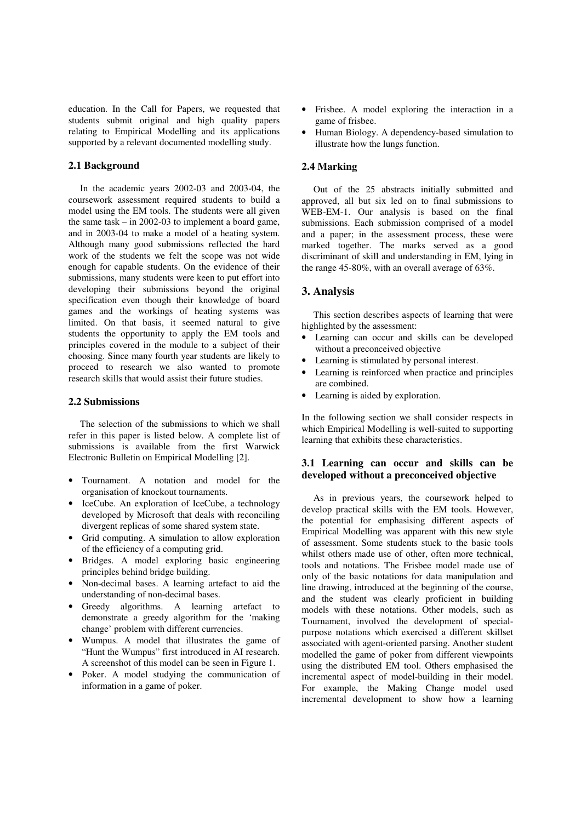education. In the Call for Papers, we requested that students submit original and high quality papers relating to Empirical Modelling and its applications supported by a relevant documented modelling study.

## **2.1 Background**

In the academic years 2002-03 and 2003-04, the coursework assessment required students to build a model using the EM tools. The students were all given the same task  $-$  in 2002-03 to implement a board game. and in 2003-04 to make a model of a heating system. Although many good submissions reflected the hard work of the students we felt the scope was not wide enough for capable students. On the evidence of their submissions, many students were keen to put effort into developing their submissions beyond the original specification even though their knowledge of board games and the workings of heating systems was limited. On that basis, it seemed natural to give students the opportunity to apply the EM tools and principles covered in the module to a subject of their choosing. Since many fourth year students are likely to proceed to research we also wanted to promote research skills that would assist their future studies.

## **2.2 Submissions**

The selection of the submissions to which we shall refer in this paper is listed below. A complete list of submissions is available from the first Warwick Electronic Bulletin on Empirical Modelling [2].

- Tournament. A notation and model for the organisation of knockout tournaments.
- IceCube. An exploration of IceCube, a technology developed by Microsoft that deals with reconciling divergent replicas of some shared system state.
- Grid computing. A simulation to allow exploration of the efficiency of a computing grid.
- Bridges. A model exploring basic engineering principles behind bridge building.
- Non-decimal bases. A learning artefact to aid the understanding of non-decimal bases.
- Greedy algorithms. A learning artefact to demonstrate a greedy algorithm for the 'making change' problem with different currencies.
- Wumpus. A model that illustrates the game of "Hunt the Wumpus" first introduced in AI research. A screenshot of this model can be seen in Figure 1.
- Poker. A model studying the communication of information in a game of poker.
- Frisbee. A model exploring the interaction in a game of frisbee.
- Human Biology. A dependency-based simulation to illustrate how the lungs function.

### **2.4 Marking**

Out of the 25 abstracts initially submitted and approved, all but six led on to final submissions to WEB-EM-1. Our analysis is based on the final submissions. Each submission comprised of a model and a paper; in the assessment process, these were marked together. The marks served as a good discriminant of skill and understanding in EM, lying in the range 45-80%, with an overall average of 63%.

## **3. Analysis**

This section describes aspects of learning that were highlighted by the assessment:

- Learning can occur and skills can be developed without a preconceived objective
- Learning is stimulated by personal interest.
- Learning is reinforced when practice and principles are combined.
- Learning is aided by exploration.

In the following section we shall consider respects in which Empirical Modelling is well-suited to supporting learning that exhibits these characteristics.

### **3.1 Learning can occur and skills can be developed without a preconceived objective**

As in previous years, the coursework helped to develop practical skills with the EM tools. However, the potential for emphasising different aspects of Empirical Modelling was apparent with this new style of assessment. Some students stuck to the basic tools whilst others made use of other, often more technical, tools and notations. The Frisbee model made use of only of the basic notations for data manipulation and line drawing, introduced at the beginning of the course, and the student was clearly proficient in building models with these notations. Other models, such as Tournament, involved the development of specialpurpose notations which exercised a different skillset associated with agent-oriented parsing. Another student modelled the game of poker from different viewpoints using the distributed EM tool. Others emphasised the incremental aspect of model-building in their model. For example, the Making Change model used incremental development to show how a learning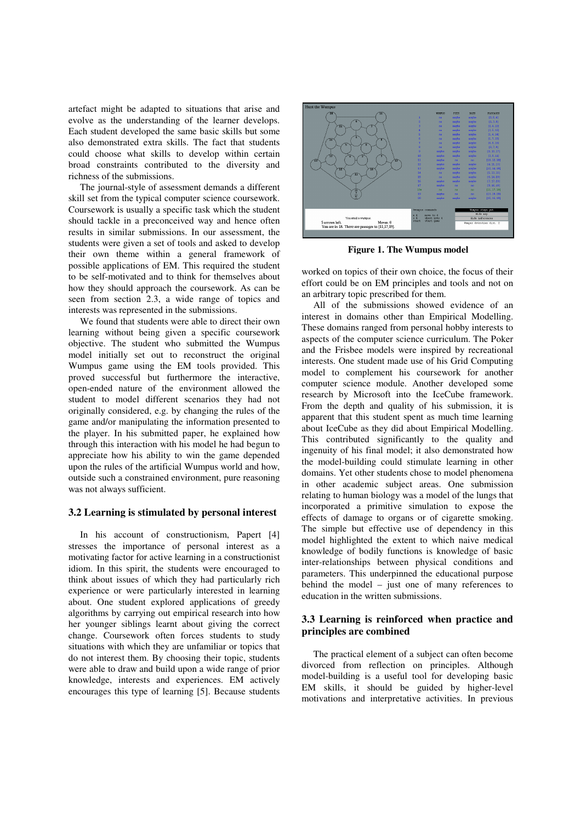artefact might be adapted to situations that arise and evolve as the understanding of the learner develops. Each student developed the same basic skills but some also demonstrated extra skills. The fact that students could choose what skills to develop within certain broad constraints contributed to the diversity and richness of the submissions.

The journal-style of assessment demands a different skill set from the typical computer science coursework. Coursework is usually a specific task which the student should tackle in a preconceived way and hence often results in similar submissions. In our assessment, the students were given a set of tools and asked to develop their own theme within a general framework of possible applications of EM. This required the student to be self-motivated and to think for themselves about how they should approach the coursework. As can be seen from section 2.3, a wide range of topics and interests was represented in the submissions.

We found that students were able to direct their own learning without being given a specific coursework objective. The student who submitted the Wumpus model initially set out to reconstruct the original Wumpus game using the EM tools provided. This proved successful but furthermore the interactive, open-ended nature of the environment allowed the student to model different scenarios they had not originally considered, e.g. by changing the rules of the game and/or manipulating the information presented to the player. In his submitted paper, he explained how through this interaction with his model he had begun to appreciate how his ability to win the game depended upon the rules of the artificial Wumpus world and how, outside such a constrained environment, pure reasoning was not always sufficient.

#### **3.2 Learning is stimulated by personal interest**

In his account of constructionism, Papert [4] stresses the importance of personal interest as a motivating factor for active learning in a constructionist idiom. In this spirit, the students were encouraged to think about issues of which they had particularly rich experience or were particularly interested in learning about. One student explored applications of greedy algorithms by carrying out empirical research into how her younger siblings learnt about giving the correct change. Coursework often forces students to study situations with which they are unfamiliar or topics that do not interest them. By choosing their topic, students were able to draw and build upon a wide range of prior knowledge, interests and experiences. EM actively encourages this type of learning [5]. Because students



**Figure 1. The Wumpus model**

worked on topics of their own choice, the focus of their effort could be on EM principles and tools and not on an arbitrary topic prescribed for them.

All of the submissions showed evidence of an interest in domains other than Empirical Modelling. These domains ranged from personal hobby interests to aspects of the computer science curriculum. The Poker and the Frisbee models were inspired by recreational interests. One student made use of his Grid Computing model to complement his coursework for another computer science module. Another developed some research by Microsoft into the IceCube framework. From the depth and quality of his submission, it is apparent that this student spent as much time learning about IceCube as they did about Empirical Modelling. This contributed significantly to the quality and ingenuity of his final model; it also demonstrated how the model-building could stimulate learning in other domains. Yet other students chose to model phenomena in other academic subject areas. One submission relating to human biology was a model of the lungs that incorporated a primitive simulation to expose the effects of damage to organs or of cigarette smoking. The simple but effective use of dependency in this model highlighted the extent to which naive medical knowledge of bodily functions is knowledge of basic inter-relationships between physical conditions and parameters. This underpinned the educational purpose behind the model – just one of many references to education in the written submissions.

## **3.3 Learning is reinforced when practice and principles are combined**

The practical element of a subject can often become divorced from reflection on principles. Although model-building is a useful tool for developing basic EM skills, it should be guided by higher-level motivations and interpretative activities. In previous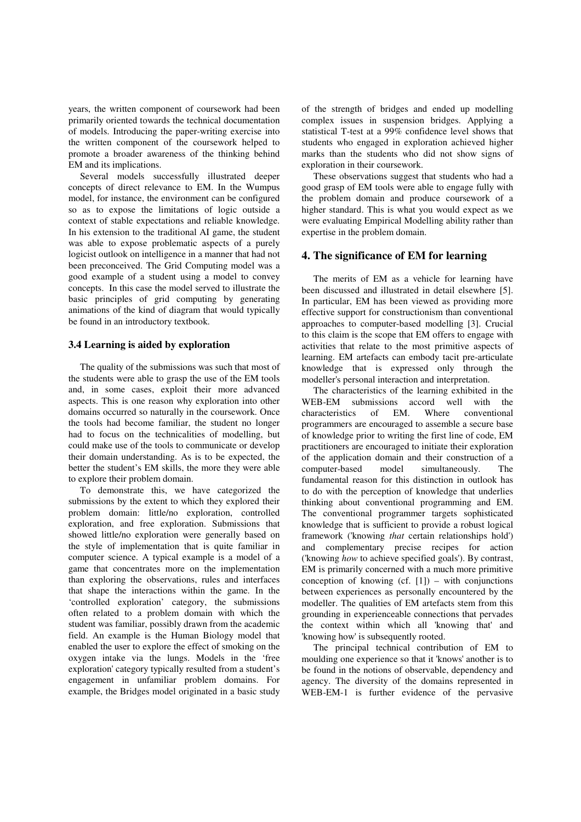years, the written component of coursework had been primarily oriented towards the technical documentation of models. Introducing the paper-writing exercise into the written component of the coursework helped to promote a broader awareness of the thinking behind EM and its implications.

Several models successfully illustrated deeper concepts of direct relevance to EM. In the Wumpus model, for instance, the environment can be configured so as to expose the limitations of logic outside a context of stable expectations and reliable knowledge. In his extension to the traditional AI game, the student was able to expose problematic aspects of a purely logicist outlook on intelligence in a manner that had not been preconceived. The Grid Computing model was a good example of a student using a model to convey concepts. In this case the model served to illustrate the basic principles of grid computing by generating animations of the kind of diagram that would typically be found in an introductory textbook.

#### **3.4 Learning is aided by exploration**

The quality of the submissions was such that most of the students were able to grasp the use of the EM tools and, in some cases, exploit their more advanced aspects. This is one reason why exploration into other domains occurred so naturally in the coursework. Once the tools had become familiar, the student no longer had to focus on the technicalities of modelling, but could make use of the tools to communicate or develop their domain understanding. As is to be expected, the better the student's EM skills, the more they were able to explore their problem domain.

To demonstrate this, we have categorized the submissions by the extent to which they explored their problem domain: little/no exploration, controlled exploration, and free exploration. Submissions that showed little/no exploration were generally based on the style of implementation that is quite familiar in computer science. A typical example is a model of a game that concentrates more on the implementation than exploring the observations, rules and interfaces that shape the interactions within the game. In the 'controlled exploration' category, the submissions often related to a problem domain with which the student was familiar, possibly drawn from the academic field. An example is the Human Biology model that enabled the user to explore the effect of smoking on the oxygen intake via the lungs. Models in the 'free exploration' category typically resulted from a student's engagement in unfamiliar problem domains. For example, the Bridges model originated in a basic study

of the strength of bridges and ended up modelling complex issues in suspension bridges. Applying a statistical T-test at a 99% confidence level shows that students who engaged in exploration achieved higher marks than the students who did not show signs of exploration in their coursework.

These observations suggest that students who had a good grasp of EM tools were able to engage fully with the problem domain and produce coursework of a higher standard. This is what you would expect as we were evaluating Empirical Modelling ability rather than expertise in the problem domain.

### **4. The significance of EM for learning**

The merits of EM as a vehicle for learning have been discussed and illustrated in detail elsewhere [5]. In particular, EM has been viewed as providing more effective support for constructionism than conventional approaches to computer-based modelling [3]. Crucial to this claim is the scope that EM offers to engage with activities that relate to the most primitive aspects of learning. EM artefacts can embody tacit pre-articulate knowledge that is expressed only through the modeller's personal interaction and interpretation.

The characteristics of the learning exhibited in the BB-EM submissions accord well with the WEB-EM submissions accord well characteristics of EM. Where conventional programmers are encouraged to assemble a secure base of knowledge prior to writing the first line of code, EM practitioners are encouraged to initiate their exploration of the application domain and their construction of a computer-based model simultaneously. The fundamental reason for this distinction in outlook has to do with the perception of knowledge that underlies thinking about conventional programming and EM. The conventional programmer targets sophisticated knowledge that is sufficient to provide a robust logical framework ('knowing *that* certain relationships hold') and complementary precise recipes for action ('knowing *how* to achieve specified goals'). By contrast, EM is primarily concerned with a much more primitive conception of knowing  $(cf, [1])$  – with conjunctions between experiences as personally encountered by the modeller. The qualities of EM artefacts stem from this grounding in experienceable connections that pervades the context within which all 'knowing that' and 'knowing how' is subsequently rooted.

The principal technical contribution of EM to moulding one experience so that it 'knows' another is to be found in the notions of observable, dependency and agency. The diversity of the domains represented in WEB-EM-1 is further evidence of the pervasive